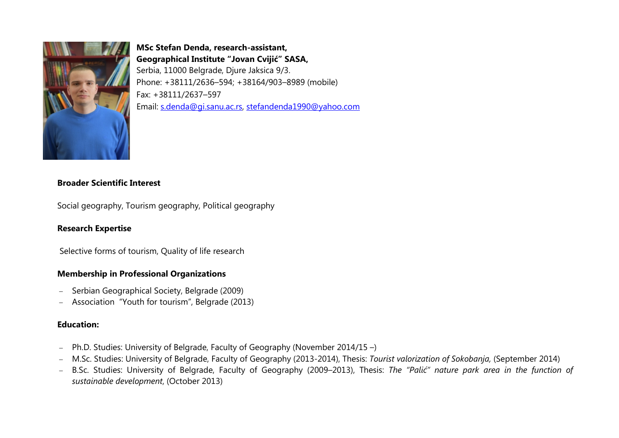

# **MSc Stefan Denda, research-assistant, Geographical Institute "Jovan Cvijić" SASA,** Serbia, 11000 Belgrade, Djure Jaksica 9/3. Phone: +38111/2636–594; +38164/903–8989 (mobile) Fax: +38111/2637–597 Еmail: [s.denda@gi.sanu.аc.rs](mailto:s.denda@gi.sanu.%D0%B0c.rs), [stefandenda1990@yahoo.com](mailto:s.denda@gi.sanu.%D0%B0c.rs)

### **Broader Scientific Interest**

Social geography, Tourism geography, Political geography

# **Research Expertise**

Selective forms of tourism, Quality of life research

### **Membership in Professional Organizations**

- − Serbian Geographical Society, Belgrade (2009)
- − Association "Youth for tourism", Belgrade (2013)

## **Education:**

- − Ph.D. Studies: University of Belgrade, Faculty of Geography (November 2014/15 –)
- − M.Sc. Studies: University of Belgrade, Faculty of Geography (2013-2014), Thesis: *Tourist valorization of Sokobanja,* (September 2014)
- − B.Sc. Studies: University of Belgrade, Faculty of Geography (2009–2013), Thesis: *The "Palić" nature park area in the function of sustainable development*, (October 2013)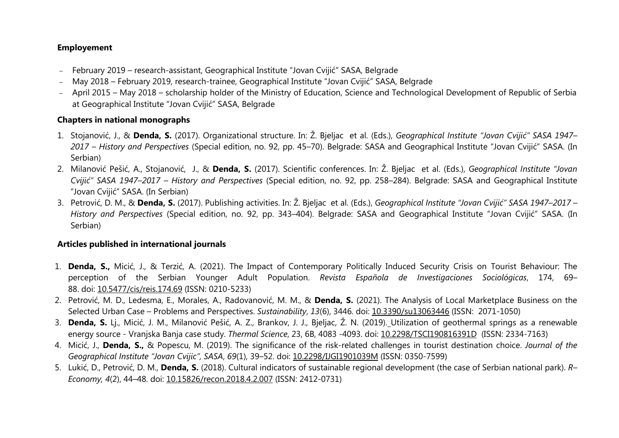## **Employement**

- − February 2019 research-assistant, Geographical Institute "Jovan Cvijić" SASA, Belgrade
- − May 2018 February 2019, research-trainee, Geographical Institute "Jovan Cvijić" SASA, Belgrade
- − April 2015 May 2018 scholarship holder of the Ministry of Education, Science and Technological Development of Republic of Serbia at Geographical Institute "Jovan Cvijić" SASA, Belgrade

## **Chapters in national monographs**

- 1. Stojanović, Ј., & **Denda, S.** (2017). Organizational structure. In: Ž. Bjeljac et al. (Eds.), *Geographical Institute "Jovan Cvijić" SASA 1947– 2017 – History and Perspectives* (Special edition, no. 92, pp. 45–70). Belgrade: SASA and Geographical Institute "Jovan Cvijić" SASA. (In Serbian)
- 2. Milanović Pešić, А., Stojanović, J., & **Denda, S.** (2017). Scientific conferences. In: Ž. Bjeljac et al. (Eds.), *Geographical Institute "Jovan Cvijić" SASA 1947*–*2017 – History and Perspectives* (Special edition, no. 92, pp. 258–284). Belgrade: SASA and Geographical Institute "Jovan Cvijić" SASA. (In Serbian)
- 3. Petrović, D. М., & **Denda, S.** (2017). Publishing activities. In: Ž. Bjeljac et al. (Eds.), *Geographical Institute "Jovan Cvijić" SASA 1947*–*2017 – History and Perspectives* (Special edition, no. 92, pp. 343–404). Belgrade: SASA and Geographical Institute "Jovan Cvijić" SASA. (In Serbian)

# **Articles published in international journals**

- 1. **Denda, S.,** Micić, J., & Terzić, A. (2021). The Impact of Contemporary Politically Induced Security Crisis on Tourist Behaviour: The perception of the Serbian Younger Adult Population. *Revista Española de Investigaciones Sociológicas*, 174, 69– 88. [doi: 10.5477/cis/reis.174.69](http://dx.doi.org/10.5477/cis/reis.174.69) (ISSN: 0210-5233)
- 2. Petrović, M. D., Ledesma, E., Morales, A., Radovanović, M. M., & **Denda, S.** (2021). The Analysis of Local Marketplace Business on the Selected Urban Case – Problems and Perspectives. *Sustainability*, *13*(6), 3446. doi: [10.3390/su13063446](http://dx.doi.org/10.3390/su13063446) (ISSN: 2071-1050)
- 3. **Denda, S.** Lj., Micić, J. M., Milanović Pešić, A. Z., Brankov, J. J., Bjeljac, Ž. N. (2019). Utilization of geothermal springs as a renewable energy source - Vranjska Banja case study. *Thermal Science*, 23, 6B, 4083 -4093. doi: [10.2298/TSCI190816391D](https://doi.org/10.2298/TSCI190816391D) (ISSN: 2334-7163)
- 4. Micić, J., **Denda, S.,** & Popescu, M. (2019). The significance of the risk-related challenges in tourist destination choice. *Journal of the Geographical Institute "Jovan Cvijic", SASA*, *69*(1), 39–52. doi: [10.2298/IJGI1901039M](https://doi.org/10.2298/IJGI1901039M) (ISSN: 0350-7599)
- 5. Lukić, D., Petrović, D. M., **Denda, S.** (2018). Cultural indicators of sustainable regional development (the case of Serbian national park). *R– Economy, 4*(2), 44–48. [doi: 10.15826/recon.2018.4.2.007](https://doi.org/10.15826/recon.2018.4.2.007) (ISSN: 2412-0731)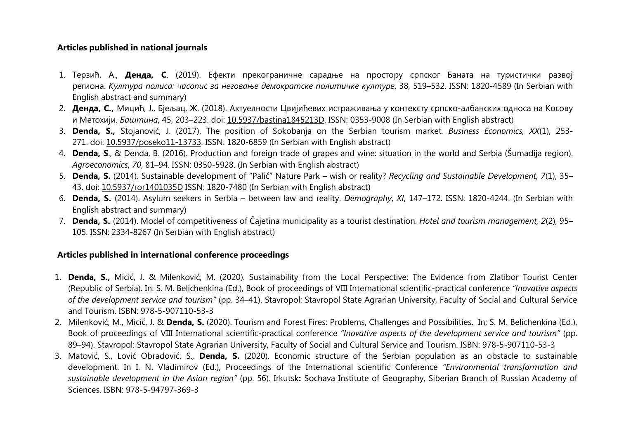#### **Articles published in national journals**

- 1. Терзић, А., **Денда, С**. (2019). Ефекти прекограничне сарадње на простору српског Баната на туристички развој региона. *Култура полиса: часопис за неговање демократске политичке културе*, 38, 519–532. ISSN: 1820-4589 (In Serbian with English abstract and summary)
- 2. **Денда, С.,** Мицић, Ј., Бјељац, Ж. (2018). Aктуелности Цвијићевих истраживања у контексту српско-албанских односа на Косову и Метохији. *Баштина*, 45, 203–223. doi: [10.5937/bastina1845213D.](https://doi.org/10.5937/bastina1845213D) ISSN: 0353-9008 (In Serbian with English abstract)
- 3. **Denda, S.,** Stojanović, J. (2017). The position of Sokobanja on the Serbian tourism market*. Business Economics, XX*(1), 253- 271. doi: [10.5937/poseko11-13733.](http://dx.doi.org/10.5937/poseko11-13733) ISSN: 1820-6859 (In Serbian with English abstract)
- 4. **Denda, S**., & Denda, B. (2016). Production and foreign trade of grapes and wine: situation in the world and Serbia (Šumadija region). *Agroeconomics*, *70*, 81–94. ISSN: 0350-5928. (In Serbian with English abstract)
- 5. **Denda, S.** (2014). Sustainable development of "Palić" Nature Park wish or reality? *Recycling and Sustainable Development, 7*(1), 35– 43. doi: [10.5937/ror1401035D](http://dx.doi.org/10.5937/ror1401035D) ISSN: 1820-7480 (In Serbian with English abstract)
- 6. **Denda, S.** (2014). Asylum seekers in Serbia between law and reality. *Demography*, *XI*, 147–172. ISSN: 1820-4244. (In Serbian with English abstract and summary)
- 7. **Denda, S.** (2014). Model of competitiveness of Čajetina municipality as a tourist destination. *Hotel and tourism management, 2*(2), 95– 105. ISSN: 2334-8267 (In Serbian with English abstract)

### **Articles published in international conference proceedings**

- 1. **Denda, S.,** Micić, J. & Milenković, M. (2020). Sustainability from the Local Perspective: The Evidence from Zlatibor Tourist Center (Republic of Serbia). In: S. M. [Belichenkina](http://dais.sanu.ac.rs/discover?scope=%2F&query=%22Belichenkina,%20S.%20M%22&submit=) (Ed.), Book of proceedings of VIII International scientific-practical conference *"Inovative aspects of the development service and tourism"* (pp. 34–41). Stavropol: Stavropol State Agrarian University, Faculty of Social and Cultural Service and Tourism. ISBN: 978-5-907110-53-3
- 2. Milenković, M., Micić, J. & **Denda, S.** (2020). [Tourism and Forest Fires: Problems, Challenges and Possibilities.](http://dais.sanu.ac.rs/handle/123456789/9089) In: S. M. [Belichenkina](http://dais.sanu.ac.rs/discover?scope=%2F&query=%22Belichenkina,%20S.%20M%22&submit=) (Ed.), Book of proceedings of VIII International scientific-practical conference *"Inovative aspects of the development service and tourism"* (pp. 89–94). Stavropol: Stavropol State Agrarian University, Faculty of Social and Cultural Service and Tourism. ISBN: 978-5-907110-53-3
- 3. Matović, S., Lović Obradović, S*.,* **Denda, S.** (2020). Economic structure of the Serbian population as an obstacle to sustainable development. In I. N. Vladimirov (Ed.), Proceedings of the International scientific Conference *"Environmental transformation and sustainable development in the Asian region"* (pp. 56). Irkutsk**:** Sochava Institute of Geography, Siberian Branch of Russian Academy of Sciences. ISBN: 978-5-94797-369-3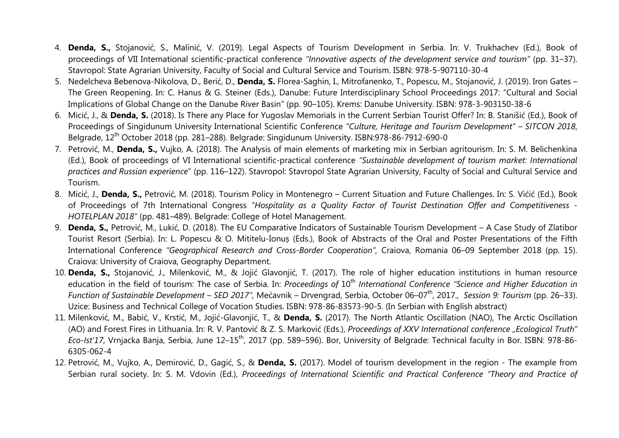- 4. **Denda, S.,** Stojanović, S., Malinić, V. (2019). Legal Aspects of Tourism Development in Serbia. In: V. [Trukhachev](http://dais.sanu.ac.rs/discover?scope=%2F&query=%22Trukhachev,%20Vladimir%22&submit=) (Ed.), Book of proceedings of VII International scientific-practical conference *"Innovative aspects of the development service and tourism"* (pp. 31–37). Stavropol: State Agrarian University, Faculty of Social and Cultural Service and Tourism. ISBN: 978-5-907110-30-4
- 5. Nedelcheva Bebenova-Nikolova, D., Berić, D., **Denda, S.** Florea-Saghin, I., Mitrofanenko, T., Popescu, M., Stojanović, J. (2019). Iron Gates The Green Reopening. In: C. Hanus & G. Steiner (Eds.), Danube: Future Interdisciplinary School Proceedings 2017: "Cultural and Social Implications of Global Change on the Danube River Basin" (pp. 90–105). Krems: Danube University. ISBN: 978-3-903150-38-6
- 6. Micić, J., & **Denda, S.** (2018). Is There any Place for Yugoslav Memorials in the Current Serbian Tourist Offer? In: B. Stanišić (Ed.), Book of Proceedings of Singidunum University International Scientific Conference *"Culture, Heritage and Tourism Development" – SITCON 2018*, Belgrade, 12<sup>th</sup> October 2018 (pp. 281–288). Belgrade: Singidunum University. ISBN:978-86-7912-690-0
- 7. Petrović, M., **Denda, S.,** Vujko, A. (2018). The Analysis of main elements of marketing mix in Serbian agritourism. In: S. M. [Belichenkina](http://dais.sanu.ac.rs/discover?scope=%2F&query=%22Belichenkina,%20S.%20M%22&submit=) (Ed.), Book of proceedings of VI International scientific-practical conference *"Sustainable development of tourism market: International practices and Russian experience*" (pp. 116–122). Stavropol: Stavropol State Agrarian University, Faculty of Social and Cultural Service and Tourism.
- 8. Micić, J., **Denda, S.,** Petrović, M. (2018). [Tourism Policy in Montenegro Current Situation and Future Challenges](http://dais.sanu.ac.rs/handle/123456789/4113). In: S. Vićić (Ed.), Book of Proceedings of 7th International Congress *"Hospitality as a Quality Factor of Tourist Destination Offer and Competitiveness - HOTELPLAN 2018"* (pp. 481–489). Belgrade: College of Hotel Management.
- 9. **Denda, S.,** Petrović, M., Lukić, D. (2018). The EU Comparative Indicators of Sustainable Tourism Development A Case Study of Zlatibor Tourist Resort (Serbia). In: L. Popescu & O. Mititelu-Ionuș (Eds.), Book of Abstracts of the Oral and Poster Presentations of the Fifth International Conference *"Geographical Research and Cross-Border Cooperation",* Craiova, Romania 06–09 September 2018 (pp. 15). Craiova: University of Craiova, Geography Department.
- 10. **Denda, S.,** Stojanović, J., Milenković, M., & Jojić Glavonjić, T. (2017). The role of higher education institutions in human resource education in the field of tourism: The case of Serbia. In: *Proceedings of* 10<sup>th</sup> International Conference "Science and Higher Education in *Function of Sustainable Development – SED 2017",* Mećavnik – Drvengrad, Serbia, October 06–07th, 2017., *Session 9: Tourism* (pp. 26–33). Uzice: Business and Technical College of Vocation Studies. ISBN: 978-86-83573-90-5. (In Serbian with English abstract)
- 11. Milenković, M., Babić, V., Krstić, M., Jojić-Glavonjić, T., & **Denda, S.** (2017). The North Atlantic Oscillation (NAO), The Arctic Oscillation (AO) and Forest Fires in Lithuania. In: R. V. Pantović & Z. S. Marković (Eds.), *Proceedings of XXV International conference "Ecological Truth" Eco-Ist'17*, Vrnjacka Banja, Serbia, June 12–15th, 2017 (pp. 589–596). Bor, University of Belgrade: Technical faculty in Bor. ISBN: 978-86- 6305-062-4
- 12. Petrović, M., Vujko, A., Demirović, D., Gagić, S., & **Denda, S.** (2017). Model of tourism development in the region The example from Serbian rural society. In: S. M. Vdovin (Ed.), *Proceedings of International Scientific and Practical Conference "Theory and Practice of*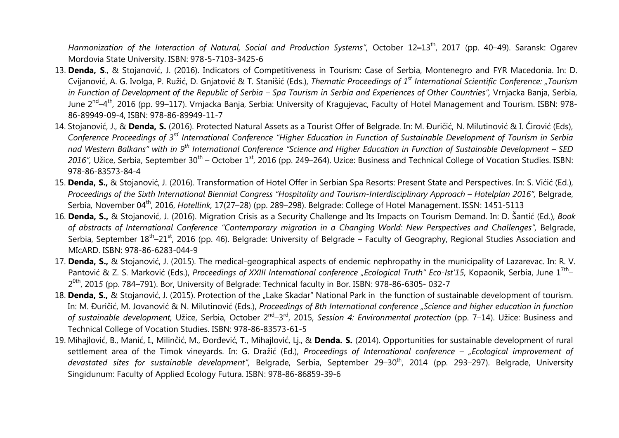*Harmonization of the Interaction of Natural, Social and Production Systems"*, October 12**–**13th, 2017 (pp. 40–49). Saransk: Ogarev Mordovia State University. ISBN: 978-5-7103-3425-6

- 13. **Denda, S**., & Stojanović, J. (2016). Indicators of Competitiveness in Tourism: Case of Serbia, Montenegro and FYR Macedonia. In: D. Cvijanović, A. G. Ivolga, P. Ružić, D. Gnjatović & T. Stanišić (Eds.), *Thematic Proceedings of 1st International Scientific Conference: "Tourism in Function of Development of the Republic of Serbia – Spa Tourism in Serbia and Experiences of Other Countries",* Vrnjacka Banja, Serbia, June 2nd*–*4th*,* 2016 (pp. 99–117). Vrnjacka Banja, Serbia: University of Kragujevac, Faculty of Hotel Management and Tourism. ISBN: 978- 86-89949-09-4, ISBN: 978-86-89949-11-7
- 14. Stojanović, J., & **Denda, S.** (2016). Protected Natural Assets as a Tourist Offer of Belgrade. In: M. Đuričić, N. Milutinović & I. Ćirović (Eds), *Conference Proceedings of 3rd International Conference "Higher Education in Function of Sustainable Development of Tourism in Serbia nad Western Balkans" with in 9th International Conference "Science and Higher Education in Function of Sustainable Development – SED* 2016", Užice, Serbia, September 30<sup>th</sup> – October 1<sup>st</sup>, 2016 (pp. 249–264). Uzice: Business and Technical College of Vocation Studies. ISBN: 978-86-83573-84-4
- 15. **Denda, S.,** & Stojanović, J. (2016). Transformation of Hotel Offer in Serbian Spa Resorts: Present State and Perspectives. In: S. Vićić (Ed.), *Proceedings of the Sixth International Biennial Congress "Hospitality and Tourism-Interdisciplinary Approach – Hotelplan 2016",* Belgrade, Serbia*,* November 04th, 2016, *Hotellink,* 17(27–28) (pp. 289–298). Belgrade: College of Hotel Management. ISSN: 1451-5113
- 16. **Denda, S.,** & Stojanović, J. (2016). Migration Crisis as a Security Challenge and Its Impacts on Tourism Demand. In: D. Šantić (Ed.), *Book of abstracts of International Conference "Contemporary migration in a Changing World: New Perspectives and Challenges",* Belgrade, Serbia, September 18<sup>th</sup>–21<sup>st</sup>, 2016 (pp. 46). Belgrade: University of Belgrade – Faculty of Geography, Regional Studies Association and MIcARD. ISBN: 978-86-6283-044-9
- 17. **Denda, S.,** & Stojanović, J. (2015). The medical-geographical aspects of endemic nephropathy in the municipality of Lazarevac. In: R. V. Pantović & Z. S. Marković (Eds.), *Proceedings of XXIII International conference "Ecological Truth" Eco-Ist'15,* Kopaonik, Serbia, June 1<sup>7th</sup>– 2 0th , 201*5* (pp. 784–791). Bor, University of Belgrade: Technical faculty in Bor. ISBN: 978-86-6305- 032-7
- 18. **Denda, S.,** & Stojanović, J. (2015). Protection of the "Lake Skadar" National Park in the function of sustainable development of tourism. In: M. Đuričić, M. Jovanović & N. Milutinović (Eds.), *Proceedings of 8th International conference "Science and higher education in function of sustainable development,* Užice, Serbia, October 2nd–3rd, 2015, *Session 4: Environmental protection* (pp. 7–14). Užice: Business and Technical College of Vocation Studies. ISBN: 978-86-83573-61-5
- 19. Mihajlović, B., Manić, I., Milinčić, M., Đorđević, T., Mihajlović, Lj., & **Denda. S.** (2014). Opportunities for sustainable development of rural settlement area of the Timok vineyards. In: G. Dražić (Ed.), *Proceedings of International conference – "Ecological improvement of devastated sites for sustainable development",* Belgrade, Serbia, September 29–30th, 2014 (pp. 293–297). Belgrade, University Singidunum: Faculty of Applied Ecology Futura. ISBN: 978-86-86859-39-6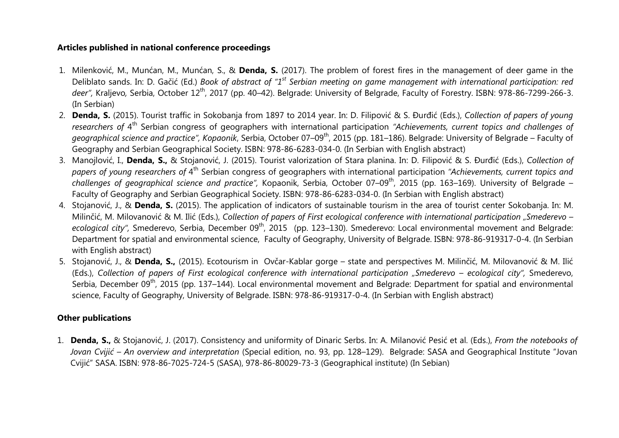## **Articles published in national conference proceedings**

- 1. Milenković, M., Munćan, M., Munćan, S., & **Denda, S.** (2017). The problem of forest fires in the management of deer game in the Deliblato sands. In: D. Gačić (Ed.) *Book of abstract of "1st Serbian meeting on game management with international participation: red deer",* Kraljevo*,* Serbia, October 12th, 2017 (pp. 40–42). Belgrade: University of Belgrade, Faculty of Forestry. ISBN: 978-86-7299-266-3. (In Serbian)
- 2. **Denda, S.** (2015). Tourist traffic in Sokobanja from 1897 to 2014 year. In: D. Filipović & S. Đurđić (Eds.), *Collection of papers of young researchers of* 4th Serbian congress of geographers with international participation *"Achievements, current topics and challenges of geographical science and practice", Коpaonik*, Serbia, October 07–09th, 2015 (pp. 181–186). Belgrade: University of Belgrade – Faculty of Geography and Serbian Geographical Society. ISBN: 978-86-6283-034-0. (In Serbian with English abstract)
- 3. Manojlović, I., **Denda, S.,** & Stojanović, J. (2015). Tourist valorization of Stara planina. In: D. Filipović & S. Đurđić (Eds.), *Collection of papers of young researchers of* 4th Serbian congress of geographers with international participation *"Achievements, current topics and challenges of geographical science and practice",* Коpaonik, Serbia, October 07–09th, 2015 (pp. 163–169). University of Belgrade – Faculty of Geography and Serbian Geographical Society. ISBN: 978-86-6283-034-0. (In Serbian with English abstract)
- 4. Stojanović, J., & **Denda, S.** (2015). The application of indicators of sustainable tourism in the area of tourist center Sokobanja. In: М. Milinčić, M. Milovanović & M. Ilić (Eds.), *Collection of papers of First ecological conference with international participation "Smederevo –* ecological city", Smederevo, Serbia, December 09<sup>th</sup>, 2015 (pp. 123–130). Smederevo: Local environmental movement and Belgrade: Department for spatial and environmental science, Faculty of Geography, University of Belgrade. ISBN: 978-86-919317-0-4. (In Serbian with English abstract)
- 5. Stojanović, J., & **Denda, S.,** (2015). Ecotourism in Ovčar-Kablar gorge state and perspectives М. Milinčić, M. Milovanović & M. Ilić (Eds.), *Collection of papers of First ecological conference with international participation "Smederevo – ecological city",* Smederevo, Serbia, December 09<sup>th</sup>, 2015 (pp. 137–144). Local environmental movement and Belgrade: Department for spatial and environmental science, Faculty of Geography, University of Belgrade. ISBN: 978-86-919317-0-4. (In Serbian with English abstract)

# **Other publications**

1. **Denda, S.,** & Stojanović, Ј. (2017). Consistency and uniformity of Dinaric Serbs. In: А. Milanović Pesić et al. (Eds.), *From the notebooks of Jovan Cvijić – An overview and interpretation* (Special edition, no. 93, pp. 128–129). Belgrade: SASA and Geographical Institute "Jovan Cvijić" SASA. ISBN: 978-86-7025-724-5 (SASA), 978-86-80029-73-3 (Geographical institute) (In Sebian)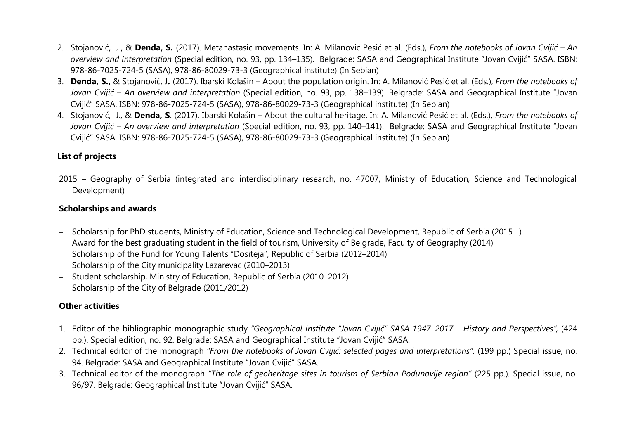- 2. Stojanović, J., & **Denda, S.** (2017). Metanastasic movements. In: А. Milanović Pesić et al. (Eds.), *From the notebooks of Jovan Cvijić An overview and interpretation* (Special edition, no. 93, pp. 134–135). Belgrade: SASA and Geographical Institute "Jovan Cvijić" SASA. ISBN: 978-86-7025-724-5 (SASA), 978-86-80029-73-3 (Geographical institute) (In Sebian)
- 3. **Denda, S.,** & Stojanović, J**.** (2017). Ibarski Kolašin About the population origin. In: А. Milanović Pesić et al. (Eds.), *From the notebooks of Jovan Cvijić – An overview and interpretation* (Special edition, no. 93, pp. 138–139). Belgrade: SASA and Geographical Institute "Jovan Cvijić" SASA. ISBN: 978-86-7025-724-5 (SASA), 978-86-80029-73-3 (Geographical institute) (In Sebian)
- 4. Stojanović, J., & **Denda, S**. (2017). Ibarski Kolašin About the cultural heritage. In: А. Milanović Pesić et al. (Eds.), *From the notebooks of Jovan Cvijić – An overview and interpretation* (Special edition, no. 93, pp. 140–141). Belgrade: SASA and Geographical Institute "Jovan Cvijić" SASA. ISBN: 978-86-7025-724-5 (SASA), 978-86-80029-73-3 (Geographical institute) (In Sebian)

# **List of projects**

2015 – Geography of Serbia (integrated and interdisciplinary research, no. 47007, Ministry of Education, Science and Technological Development)

# **Scholarships and awards**

- − Scholarship for PhD students, Ministry of Education, Science and Technological Development, Republic of Serbia (2015 –)
- − Award for the best graduating student in the field of tourism, University of Belgrade, Faculty of Geography (2014)
- − Scholarship of the Fund for Young Talents "Dositeja", Republic of Serbia (2012–2014)
- − Scholarship of the City municipality Lazarevac (2010–2013)
- − Student scholarship, Ministry of Education, Republic of Serbia (2010–2012)
- − Scholarship of the City of Belgrade (2011/2012)

# **Other activities**

- 1. Editor of the bibliographic monographic study *"Geographical Institute "Jovan Cvijić" SASA 1947–2017 History and Perspectives",* (424 pp.). Special edition, no. 92. Belgrade: SASA and Geographical Institute "Jovan Cvijić" SASA.
- 2. Technical editor of the monograph "From the notebooks of Jovan Cvijić: selected pages and interpretations". (199 pp.) Special issue, no. 94. Belgrade: SASA and Geographical Institute "Jovan Cvijić" SASA.
- 3. Technical editor of the monograph *"The role of geoheritage sites in tourism of Serbian Podunavlje region"* (225 pp.)*.* Special issue, no. 96/97. Belgrade: Geographical Institute "Jovan Cvijić" SASA.